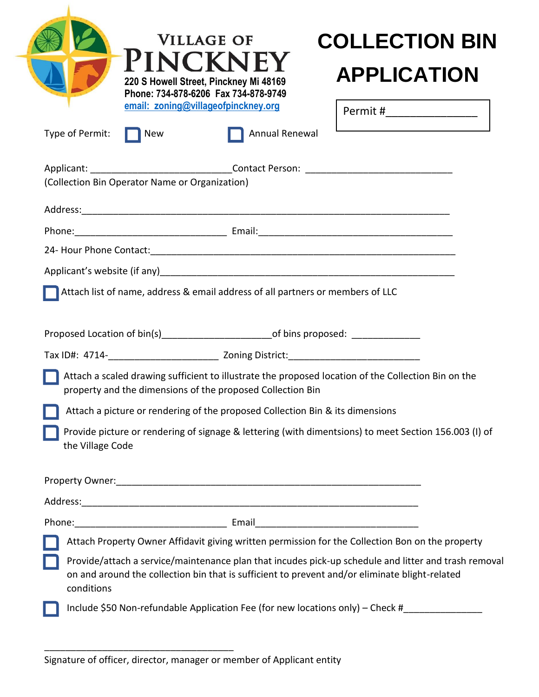| Type of Permit:  | <b>New</b>                                     | <b>VILLAGE OF</b><br><b>PINCKNEY</b><br>220 S Howell Street, Pinckney Mi 48169<br>Phone: 734-878-6206 Fax 734-878-9749<br>email: zoning@villageofpinckney.org<br>Annual Renewal | <b>COLLECTION BIN</b><br><b>APPLICATION</b><br>Permit #________________                                                                                                                                |
|------------------|------------------------------------------------|---------------------------------------------------------------------------------------------------------------------------------------------------------------------------------|--------------------------------------------------------------------------------------------------------------------------------------------------------------------------------------------------------|
|                  |                                                |                                                                                                                                                                                 |                                                                                                                                                                                                        |
|                  |                                                |                                                                                                                                                                                 |                                                                                                                                                                                                        |
|                  | (Collection Bin Operator Name or Organization) |                                                                                                                                                                                 |                                                                                                                                                                                                        |
|                  |                                                |                                                                                                                                                                                 |                                                                                                                                                                                                        |
|                  |                                                |                                                                                                                                                                                 |                                                                                                                                                                                                        |
|                  |                                                |                                                                                                                                                                                 |                                                                                                                                                                                                        |
|                  |                                                |                                                                                                                                                                                 |                                                                                                                                                                                                        |
|                  |                                                | Attach list of name, address & email address of all partners or members of LLC                                                                                                  |                                                                                                                                                                                                        |
|                  |                                                | Proposed Location of bin(s)_____________________________of bins proposed: _____________                                                                                         |                                                                                                                                                                                                        |
|                  |                                                |                                                                                                                                                                                 |                                                                                                                                                                                                        |
|                  |                                                | property and the dimensions of the proposed Collection Bin                                                                                                                      | Attach a scaled drawing sufficient to illustrate the proposed location of the Collection Bin on the                                                                                                    |
|                  |                                                | Attach a picture or rendering of the proposed Collection Bin & its dimensions                                                                                                   |                                                                                                                                                                                                        |
| the Village Code |                                                |                                                                                                                                                                                 | Provide picture or rendering of signage & lettering (with dimentsions) to meet Section 156.003 (I) of                                                                                                  |
|                  |                                                |                                                                                                                                                                                 |                                                                                                                                                                                                        |
|                  |                                                | Property Owner: 2008 and 2008 and 2008 and 2008 and 2008 and 2008 and 2008 and 2008 and 2008 and 2008 and 2008                                                                  |                                                                                                                                                                                                        |
|                  |                                                |                                                                                                                                                                                 |                                                                                                                                                                                                        |
|                  |                                                |                                                                                                                                                                                 | Attach Property Owner Affidavit giving written permission for the Collection Bon on the property                                                                                                       |
| conditions       |                                                |                                                                                                                                                                                 | Provide/attach a service/maintenance plan that incudes pick-up schedule and litter and trash removal<br>on and around the collection bin that is sufficient to prevent and/or eliminate blight-related |

\_\_\_\_\_\_\_\_\_\_\_\_\_\_\_\_\_\_\_\_\_\_\_\_\_\_\_\_\_\_\_\_\_\_\_\_

Signature of officer, director, manager or member of Applicant entity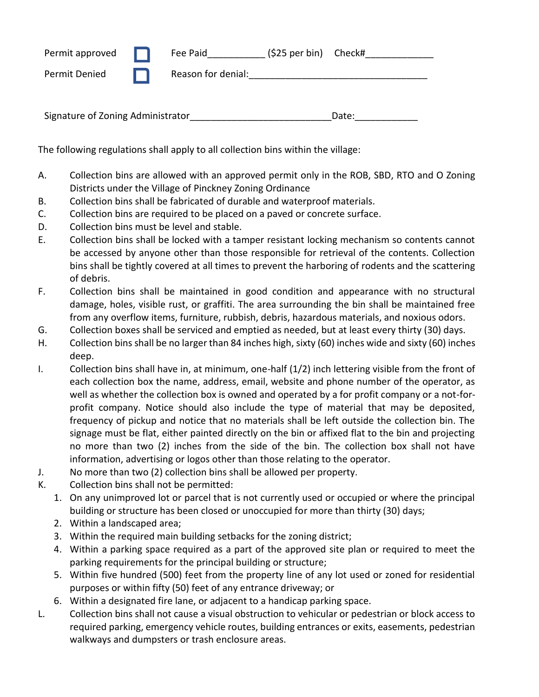| Permit approved | $(525 \text{ per bin})$ Check#<br>Fee Paid |
|-----------------|--------------------------------------------|
| Permit Denied   | Reason for denial:                         |
|                 |                                            |

Signature of Zoning Administrator entitled and the control of Date:

The following regulations shall apply to all collection bins within the village:

- A. Collection bins are allowed with an approved permit only in the ROB, SBD, RTO and O Zoning Districts under the Village of Pinckney Zoning Ordinance
- B. Collection bins shall be fabricated of durable and waterproof materials.
- C. Collection bins are required to be placed on a paved or concrete surface.
- D. Collection bins must be level and stable.
- E. Collection bins shall be locked with a tamper resistant locking mechanism so contents cannot be accessed by anyone other than those responsible for retrieval of the contents. Collection bins shall be tightly covered at all times to prevent the harboring of rodents and the scattering of debris.
- F. Collection bins shall be maintained in good condition and appearance with no structural damage, holes, visible rust, or graffiti. The area surrounding the bin shall be maintained free from any overflow items, furniture, rubbish, debris, hazardous materials, and noxious odors.
- G. Collection boxes shall be serviced and emptied as needed, but at least every thirty (30) days.
- H. Collection bins shall be no larger than 84 inches high, sixty (60) inches wide and sixty (60) inches deep.
- I. Collection bins shall have in, at minimum, one-half (1/2) inch lettering visible from the front of each collection box the name, address, email, website and phone number of the operator, as well as whether the collection box is owned and operated by a for profit company or a not-forprofit company. Notice should also include the type of material that may be deposited, frequency of pickup and notice that no materials shall be left outside the collection bin. The signage must be flat, either painted directly on the bin or affixed flat to the bin and projecting no more than two (2) inches from the side of the bin. The collection box shall not have information, advertising or logos other than those relating to the operator.
- J. No more than two (2) collection bins shall be allowed per property.
- K. Collection bins shall not be permitted:
	- 1. On any unimproved lot or parcel that is not currently used or occupied or where the principal building or structure has been closed or unoccupied for more than thirty (30) days;
	- 2. Within a landscaped area;
	- 3. Within the required main building setbacks for the zoning district;
	- 4. Within a parking space required as a part of the approved site plan or required to meet the parking requirements for the principal building or structure;
	- 5. Within five hundred (500) feet from the property line of any lot used or zoned for residential purposes or within fifty (50) feet of any entrance driveway; or
	- 6. Within a designated fire lane, or adjacent to a handicap parking space.
- L. Collection bins shall not cause a visual obstruction to vehicular or pedestrian or block access to required parking, emergency vehicle routes, building entrances or exits, easements, pedestrian walkways and dumpsters or trash enclosure areas.